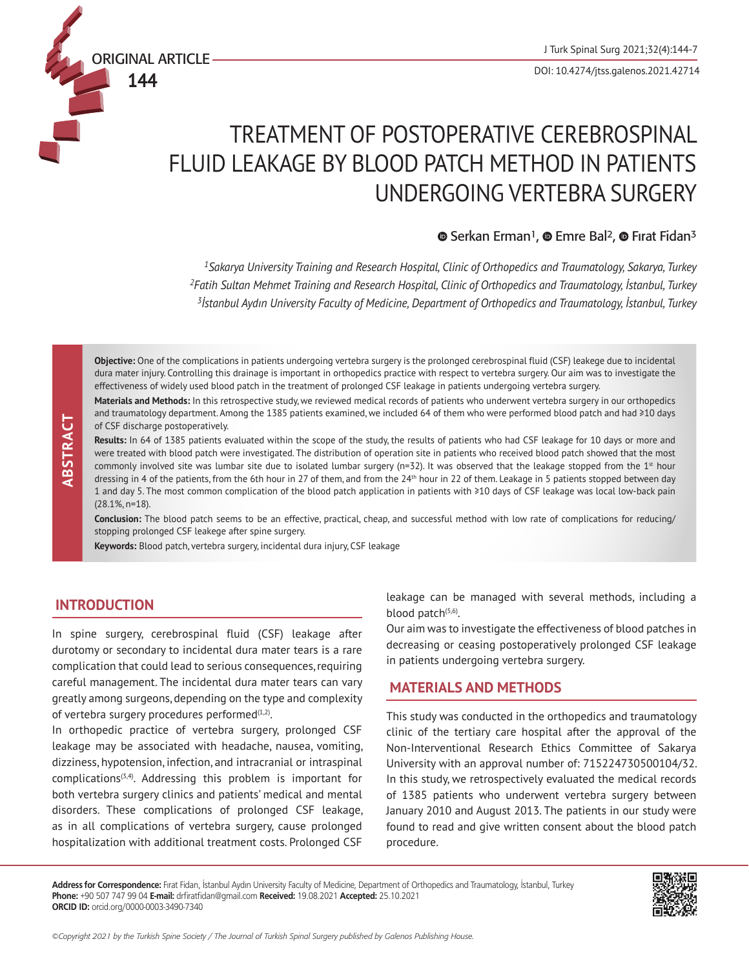DOI: 10.4274/jtss.galenos.2021.42714

# TREATMENT OF POSTOPERATIVE CEREBROSPINAL FLUID LEAKAGE BY BLOOD PATCH METHOD IN PATIENTS

# $\bullet$ Serkan Erman<sup>1</sup>,  $\bullet$  Emre Bal<sup>2</sup>,  $\bullet$  Firat Fidan<sup>3</sup>

UNDERGOING VERTEBRA SURGERY

*1Sakarya University Training and Research Hospital, Clinic of Orthopedics and Traumatology, Sakarya, Turkey <sup>2</sup>Fatih Sultan Mehmet Training and Research Hospital, Clinic of Orthopedics and Traumatology, İstanbul, Turkey <sup>3</sup>İstanbul Aydın University Faculty of Medicine, Department of Orthopedics and Traumatology, İstanbul, Turkey*

**Objective:** One of the complications in patients undergoing vertebra surgery is the prolonged cerebrospinal fluid (CSF) leakege due to incidental dura mater injury. Controlling this drainage is important in orthopedics practice with respect to vertebra surgery. Our aim was to investigate the effectiveness of widely used blood patch in the treatment of prolonged CSF leakage in patients undergoing vertebra surgery.

**Materials and Methods:** In this retrospective study, we reviewed medical records of patients who underwent vertebra surgery in our orthopedics and traumatology department. Among the 1385 patients examined, we included 64 of them who were performed blood patch and had ≥10 days of CSF discharge postoperatively.

**Results:** In 64 of 1385 patients evaluated within the scope of the study, the results of patients who had CSF leakage for 10 days or more and were treated with blood patch were investigated. The distribution of operation site in patients who received blood patch showed that the most commonly involved site was lumbar site due to isolated lumbar surgery (n=32). It was observed that the leakage stopped from the  $1<sup>st</sup>$  hour dressing in 4 of the patients, from the 6th hour in 27 of them, and from the 24<sup>th</sup> hour in 22 of them. Leakage in 5 patients stopped between day 1 and day 5. The most common complication of the blood patch application in patients with ≥10 days of CSF leakage was local low-back pain (28.1%, n=18).

**Conclusion:** The blood patch seems to be an effective, practical, cheap, and successful method with low rate of complications for reducing/ stopping prolonged CSF leakege after spine surgery.

**Keywords:** Blood patch, vertebra surgery, incidental dura injury, CSF leakage

# **INTRODUCTION**

ORIGINAL ARTICLE **144**

In spine surgery, cerebrospinal fluid (CSF) leakage after durotomy or secondary to incidental dura mater tears is a rare complication that could lead to serious consequences, requiring careful management. The incidental dura mater tears can vary greatly among surgeons, depending on the type and complexity of vertebra surgery procedures performed $(1,2)$ .

**Community in the Turkish Spine Society and CSF discharge postperatively.**<br> **Results:** In 64 of 1585 patients evaluated within the society the surgery (ne321 by the results of the discharge portof the Altimative Contents o In orthopedic practice of vertebra surgery, prolonged CSF leakage may be associated with headache, nausea, vomiting, dizziness, hypotension, infection, and intracranial or intraspinal  $complications<sup>(3,4)</sup>$ . Addressing this problem is important for both vertebra surgery clinics and patients' medical and mental disorders. These complications of prolonged CSF leakage, as in all complications of vertebra surgery, cause prolonged hospitalization with additional treatment costs. Prolonged CSF

leakage can be managed with several methods, including a blood patch $(5,6)$ .

Our aim was to investigate the effectiveness of blood patches in decreasing or ceasing postoperatively prolonged CSF leakage in patients undergoing vertebra surgery.

# **MATERIALS AND METHODS**

This study was conducted in the orthopedics and traumatology clinic of the tertiary care hospital after the approval of the Non-Interventional Research Ethics Committee of Sakarya University with an approval number of: 715224730500104/32. In this study, we retrospectively evaluated the medical records of 1385 patients who underwent vertebra surgery between January 2010 and August 2013. The patients in our study were found to read and give written consent about the blood patch procedure.

**Address for Correspondence:** Fırat Fidan, İstanbul Aydın University Faculty of Medicine, Department of Orthopedics and Traumatology, İstanbul, Turkey **Phone:** +90 507 747 99 04 **E-mail:** drfiratfidan@gmail.com **Received:** 19.08.2021 **Accepted:** 25.10.2021 **ORCID ID:** orcid.org/0000-0003-3490-7340

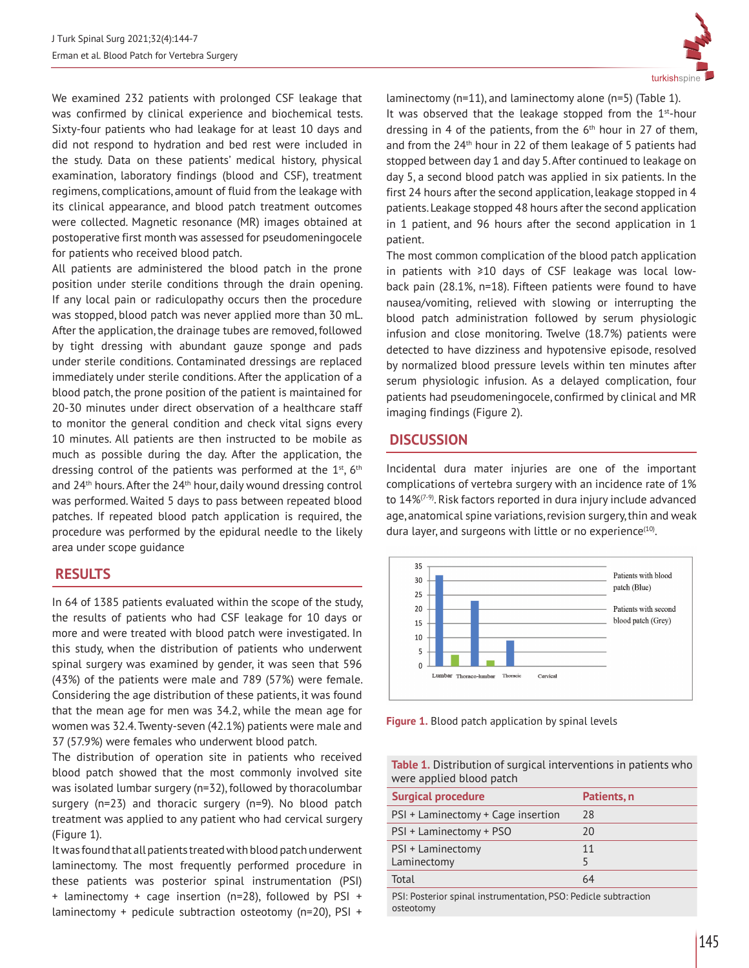We examined 232 patients with prolonged CSF leakage that was confirmed by clinical experience and biochemical tests. Sixty-four patients who had leakage for at least 10 days and did not respond to hydration and bed rest were included in the study. Data on these patients' medical history, physical examination, laboratory findings (blood and CSF), treatment regimens, complications, amount of fluid from the leakage with its clinical appearance, and blood patch treatment outcomes were collected. Magnetic resonance (MR) images obtained at postoperative first month was assessed for pseudomeningocele for patients who received blood patch.

All patients are administered the blood patch in the prone position under sterile conditions through the drain opening. If any local pain or radiculopathy occurs then the procedure was stopped, blood patch was never applied more than 30 mL. After the application, the drainage tubes are removed, followed by tight dressing with abundant gauze sponge and pads under sterile conditions. Contaminated dressings are replaced immediately under sterile conditions. After the application of a blood patch, the prone position of the patient is maintained for 20-30 minutes under direct observation of a healthcare staff to monitor the general condition and check vital signs every 10 minutes. All patients are then instructed to be mobile as much as possible during the day. After the application, the dressing control of the patients was performed at the  $1<sup>st</sup>$ ,  $6<sup>th</sup>$ and  $24<sup>th</sup>$  hours. After the  $24<sup>th</sup>$  hour, daily wound dressing control was performed. Waited 5 days to pass between repeated blood patches. If repeated blood patch application is required, the procedure was performed by the epidural needle to the likely area under scope guidance

#### **RESULTS**

In 64 of 1385 patients evaluated within the scope of the study, the results of patients who had CSF leakage for 10 days or more and were treated with blood patch were investigated. In this study, when the distribution of patients who underwent spinal surgery was examined by gender, it was seen that 596 (43%) of the patients were male and 789 (57%) were female. Considering the age distribution of these patients, it was found that the mean age for men was 34.2, while the mean age for women was 32.4. Twenty-seven (42.1%) patients were male and 37 (57.9%) were females who underwent blood patch.

The distribution of operation site in patients who received blood patch showed that the most commonly involved site was isolated lumbar surgery (n=32), followed by thoracolumbar surgery (n=23) and thoracic surgery (n=9). No blood patch treatment was applied to any patient who had cervical surgery (Figure 1).

It was found that all patients treated with blood patch underwent laminectomy. The most frequently performed procedure in these patients was posterior spinal instrumentation (PSI) + laminectomy + cage insertion (n=28), followed by PSI + laminectomy + pedicule subtraction osteotomy (n=20), PSI +



laminectomy (n=11), and laminectomy alone (n=5) (Table 1). It was observed that the leakage stopped from the  $1<sup>st</sup>$ -hour dressing in 4 of the patients, from the  $6<sup>th</sup>$  hour in 27 of them, and from the  $24<sup>th</sup>$  hour in 22 of them leakage of 5 patients had stopped between day 1 and day 5. After continued to leakage on day 5, a second blood patch was applied in six patients. In the first 24 hours after the second application, leakage stopped in 4 patients. Leakage stopped 48 hours after the second application in 1 patient, and 96 hours after the second application in 1 patient.

The most common complication of the blood patch application in patients with ≥10 days of CSF leakage was local lowback pain (28.1%, n=18). Fifteen patients were found to have nausea/vomiting, relieved with slowing or interrupting the blood patch administration followed by serum physiologic infusion and close monitoring. Twelve (18.7%) patients were detected to have dizziness and hypotensive episode, resolved by normalized blood pressure levels within ten minutes after serum physiologic infusion. As a delayed complication, four patients had pseudomeningocele, confirmed by clinical and MR imaging findings (Figure 2).

# **DISCUSSION**

Incidental dura mater injuries are one of the important complications of vertebra surgery with an incidence rate of 1% to  $14\%$ <sup> $(7-9)$ </sup>. Risk factors reported in dura injury include advanced age, anatomical spine variations, revision surgery, thin and weak dura layer, and surgeons with little or no experience<sup>(10)</sup>.



**Figure 1.** Blood patch application by spinal levels

| <b>Table 1.</b> Distribution of surgical interventions in patients who |
|------------------------------------------------------------------------|
| were applied blood patch                                               |

| <b>Surgical procedure</b>                                       | Patients, n |  |
|-----------------------------------------------------------------|-------------|--|
| PSI + Laminectomy + Cage insertion                              | 28          |  |
| PSI + Laminectomy + PSO                                         | 20          |  |
| PSI + Laminectomy<br>Laminectomy                                | 11<br>5     |  |
| Total                                                           | 64          |  |
| PSI: Posterior spinal instrumentation, PSO: Pedicle subtraction |             |  |

osteotomy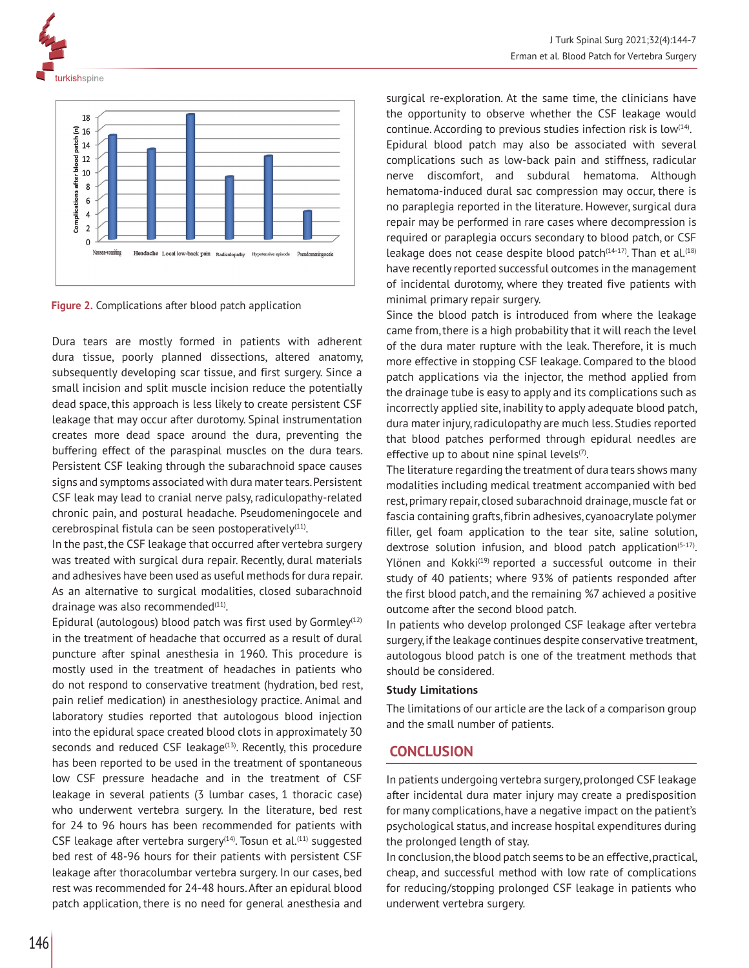



**Figure 2.** Complications after blood patch application

Dura tears are mostly formed in patients with adherent dura tissue, poorly planned dissections, altered anatomy, subsequently developing scar tissue, and first surgery. Since a small incision and split muscle incision reduce the potentially dead space, this approach is less likely to create persistent CSF leakage that may occur after durotomy. Spinal instrumentation creates more dead space around the dura, preventing the buffering effect of the paraspinal muscles on the dura tears. Persistent CSF leaking through the subarachnoid space causes signs and symptoms associated with dura mater tears. Persistent CSF leak may lead to cranial nerve palsy, radiculopathy-related chronic pain, and postural headache. Pseudomeningocele and cerebrospinal fistula can be seen postoperatively $(11)$ .

In the past, the CSF leakage that occurred after vertebra surgery was treated with surgical dura repair. Recently, dural materials and adhesives have been used as useful methods for dura repair. As an alternative to surgical modalities, closed subarachnoid drainage was also recommended $(11)$ .

Epidural (autologous) blood patch was first used by Gormley $(12)$ in the treatment of headache that occurred as a result of dural puncture after spinal anesthesia in 1960. This procedure is mostly used in the treatment of headaches in patients who do not respond to conservative treatment (hydration, bed rest, pain relief medication) in anesthesiology practice. Animal and laboratory studies reported that autologous blood injection into the epidural space created blood clots in approximately 30 seconds and reduced CSF leakage $(13)$ . Recently, this procedure has been reported to be used in the treatment of spontaneous low CSF pressure headache and in the treatment of CSF leakage in several patients (3 lumbar cases, 1 thoracic case) who underwent vertebra surgery. In the literature, bed rest for 24 to 96 hours has been recommended for patients with CSF leakage after vertebra surgery $(14)$ . Tosun et al. $(11)$  suggested bed rest of 48-96 hours for their patients with persistent CSF leakage after thoracolumbar vertebra surgery. In our cases, bed rest was recommended for 24-48 hours. After an epidural blood patch application, there is no need for general anesthesia and surgical re-exploration. At the same time, the clinicians have the opportunity to observe whether the CSF leakage would continue. According to previous studies infection risk is low $(14)$ . Epidural blood patch may also be associated with several complications such as low-back pain and stiffness, radicular nerve discomfort, and subdural hematoma. Although hematoma-induced dural sac compression may occur, there is no paraplegia reported in the literature. However, surgical dura repair may be performed in rare cases where decompression is required or paraplegia occurs secondary to blood patch, or CSF leakage does not cease despite blood patch $(14-17)$ . Than et al. $(18)$ have recently reported successful outcomes in the management of incidental durotomy, where they treated five patients with minimal primary repair surgery.

Since the blood patch is introduced from where the leakage came from, there is a high probability that it will reach the level of the dura mater rupture with the leak. Therefore, it is much more effective in stopping CSF leakage. Compared to the blood patch applications via the injector, the method applied from the drainage tube is easy to apply and its complications such as incorrectly applied site, inability to apply adequate blood patch, dura mater injury, radiculopathy are much less. Studies reported that blood patches performed through epidural needles are effective up to about nine spinal levels $(7)$ .

The literature regarding the treatment of dura tears shows many modalities including medical treatment accompanied with bed rest, primary repair, closed subarachnoid drainage, muscle fat or fascia containing grafts, fibrin adhesives, cyanoacrylate polymer filler, gel foam application to the tear site, saline solution, dextrose solution infusion, and blood patch application<sup> $(5-17)$ </sup>. Ylönen and Kokki<sup>(19)</sup> reported a successful outcome in their study of 40 patients; where 93% of patients responded after the first blood patch, and the remaining %7 achieved a positive outcome after the second blood patch.

In patients who develop prolonged CSF leakage after vertebra surgery, if the leakage continues despite conservative treatment, autologous blood patch is one of the treatment methods that should be considered.

#### **Study Limitations**

The limitations of our article are the lack of a comparison group and the small number of patients.

# **CONCLUSION**

In patients undergoing vertebra surgery, prolonged CSF leakage after incidental dura mater injury may create a predisposition for many complications, have a negative impact on the patient's psychological status, and increase hospital expenditures during the prolonged length of stay.

In conclusion, the blood patch seems to be an effective, practical, cheap, and successful method with low rate of complications for reducing/stopping prolonged CSF leakage in patients who underwent vertebra surgery.